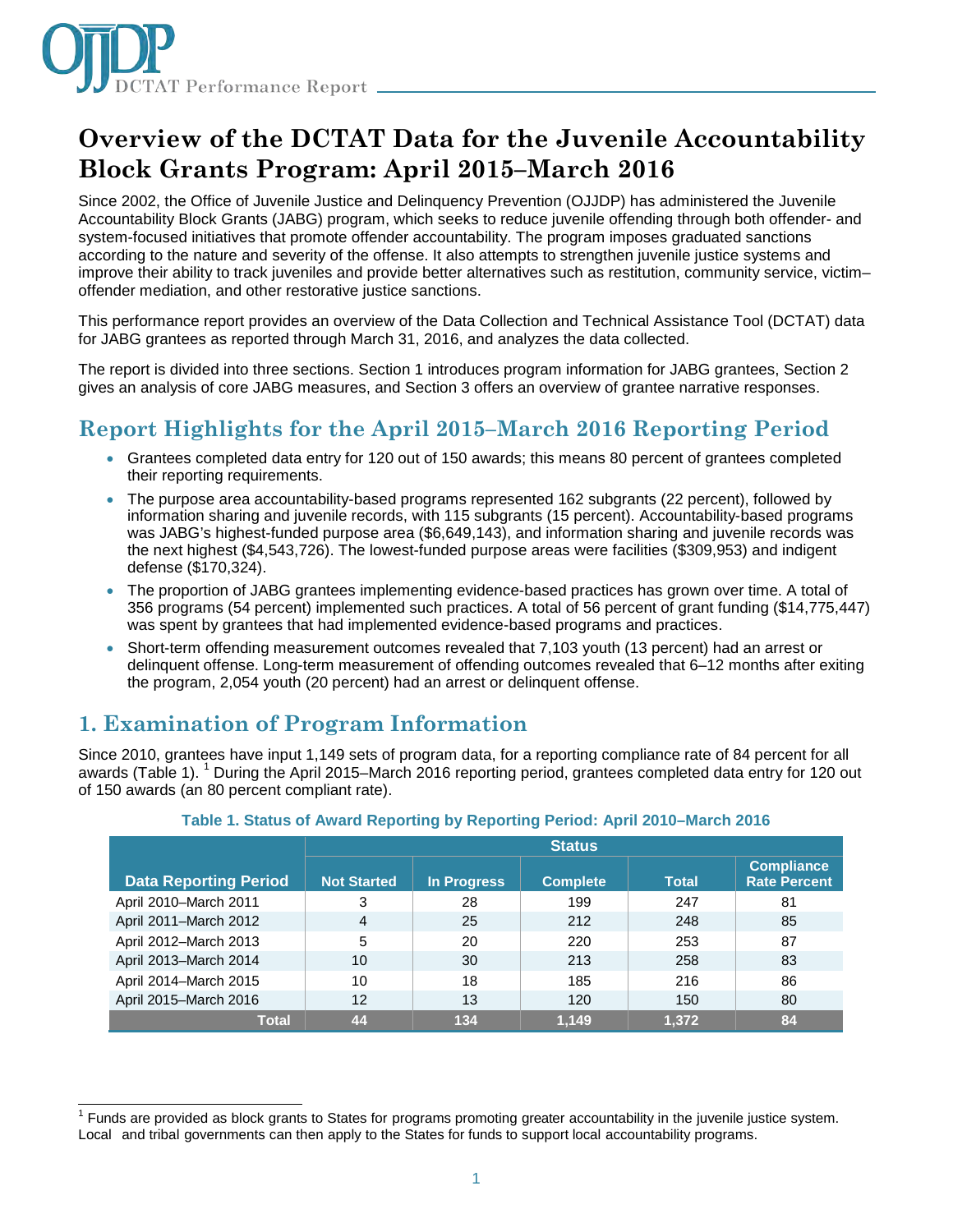

# **Overview of the DCTAT Data for the Juvenile Accountability Block Grants Program: April 2015–March 2016**

Since 2002, the Office of Juvenile Justice and Delinquency Prevention (OJJDP) has administered the Juvenile Accountability Block Grants (JABG) program, which seeks to reduce juvenile offending through both offender- and system-focused initiatives that promote offender accountability. The program imposes graduated sanctions according to the nature and severity of the offense. It also attempts to strengthen juvenile justice systems and improve their ability to track juveniles and provide better alternatives such as restitution, community service, victim– offender mediation, and other restorative justice sanctions.

This performance report provides an overview of the Data Collection and Technical Assistance Tool (DCTAT) data for JABG grantees as reported through March 31, 2016, and analyzes the data collected.

The report is divided into three sections. Section 1 introduces program information for JABG grantees, Section 2 gives an analysis of core JABG measures, and Section 3 offers an overview of grantee narrative responses.

# **Report Highlights for the April 2015–March 2016 Reporting Period**

- Grantees completed data entry for 120 out of 150 awards; this means 80 percent of grantees completed their reporting requirements.
- The purpose area accountability-based programs represented 162 subgrants (22 percent), followed by information sharing and juvenile records, with 115 subgrants (15 percent). Accountability-based programs was JABG's highest-funded purpose area (\$6,649,143), and information sharing and juvenile records was the next highest (\$4,543,726). The lowest-funded purpose areas were facilities (\$309,953) and indigent defense (\$170,324).
- The proportion of JABG grantees implementing evidence-based practices has grown over time. A total of 356 programs (54 percent) implemented such practices. A total of 56 percent of grant funding (\$14,775,447) was spent by grantees that had implemented evidence-based programs and practices.
- Short-term offending measurement outcomes revealed that 7,103 youth (13 percent) had an arrest or delinquent offense. Long-term measurement of offending outcomes revealed that 6–12 months after exiting the program, 2,054 youth (20 percent) had an arrest or delinquent offense.

### **1. Examination of Program Information**

Since 2010, grantees have input 1,149 sets of program data, for a reporting compliance rate of 84 percent for all awards (Table 1). <sup>1</sup> During the April 2015–March 2016 reporting period, grantees completed data entry for 120 out of 150 awards (an 80 percent compliant rate).

|                              | <b>Status</b>      |                    |                 |              |                                          |
|------------------------------|--------------------|--------------------|-----------------|--------------|------------------------------------------|
| <b>Data Reporting Period</b> | <b>Not Started</b> | <b>In Progress</b> | <b>Complete</b> | <b>Total</b> | <b>Compliance</b><br><b>Rate Percent</b> |
| April 2010-March 2011        | 3                  | 28                 | 199             | 247          | 81                                       |
| April 2011-March 2012        | 4                  | 25                 | 212             | 248          | 85                                       |
| April 2012-March 2013        | 5                  | 20                 | 220             | 253          | 87                                       |
| April 2013-March 2014        | 10                 | 30                 | 213             | 258          | 83                                       |
| April 2014-March 2015        | 10                 | 18                 | 185             | 216          | 86                                       |
| April 2015-March 2016        | $12 \,$            | 13                 | 120             | 150          | 80                                       |
| <b>Total</b>                 | 44                 | 134                | 1.149           | 1,372        | 84                                       |

#### **Table 1. Status of Award Reporting by Reporting Period: April 2010–March 2016**

 $\overline{\phantom{a}}$  $1$  Funds are provided as block grants to States for programs promoting greater accountability in the juvenile justice system. Local and tribal governments can then apply to the States for funds to support local accountability programs.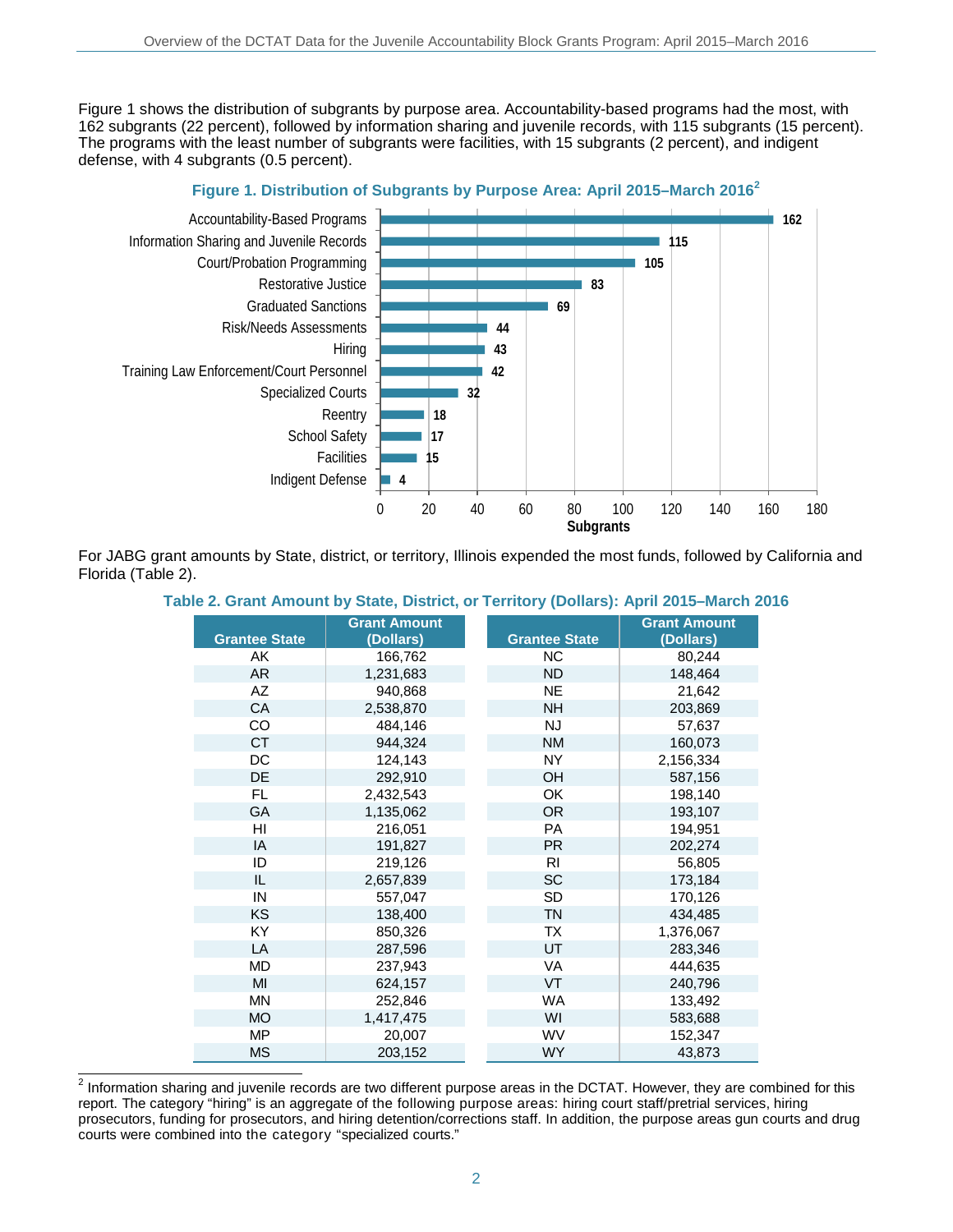Figure 1 shows the distribution of subgrants by purpose area. Accountability-based programs had the most, with 162 subgrants (22 percent), followed by information sharing and juvenile records, with 115 subgrants (15 percent). The programs with the least number of subgrants were facilities, with 15 subgrants (2 percent), and indigent defense, with 4 subgrants (0.5 percent).



For JABG grant amounts by State, district, or territory, Illinois expended the most funds, followed by California and Florida (Table 2).

#### **Table 2. Grant Amount by State, District, or Territory (Dollars): April 2015–March 2016**

| <b>Grantee State</b> | <b>Grant Amount</b><br>(Dollars) | <b>Grantee State</b> | <b>Grant Amount</b><br>(Dollars) |
|----------------------|----------------------------------|----------------------|----------------------------------|
| AK                   | 166,762                          | <b>NC</b>            | 80,244                           |
| <b>AR</b>            | 1,231,683                        | <b>ND</b>            | 148,464                          |
| AZ                   | 940,868                          | <b>NE</b>            | 21,642                           |
| <b>CA</b>            | 2,538,870                        | <b>NH</b>            | 203,869                          |
| CO                   | 484,146                          | <b>NJ</b>            | 57,637                           |
| <b>CT</b>            | 944,324                          | <b>NM</b>            | 160,073                          |
| DC                   | 124,143                          | NY.                  | 2,156,334                        |
| <b>DE</b>            | 292,910                          | <b>OH</b>            | 587,156                          |
| FL.                  | 2,432,543                        | OK                   | 198,140                          |
| <b>GA</b>            | 1,135,062                        | <b>OR</b>            | 193,107                          |
| HI                   | 216,051                          | <b>PA</b>            | 194,951                          |
| IA                   | 191,827                          | <b>PR</b>            | 202,274                          |
| ID                   | 219,126                          | <b>RI</b>            | 56,805                           |
| IL                   | 2,657,839                        | <b>SC</b>            | 173,184                          |
| IN                   | 557,047                          | <b>SD</b>            | 170,126                          |
| <b>KS</b>            | 138,400                          | <b>TN</b>            | 434,485                          |
| <b>KY</b>            | 850,326                          | <b>TX</b>            | 1,376,067                        |
| LA                   | 287,596                          | UT                   | 283,346                          |
| <b>MD</b>            | 237,943                          | <b>VA</b>            | 444,635                          |
| MI                   | 624,157                          | <b>VT</b>            | 240,796                          |
| <b>MN</b>            | 252,846                          | <b>WA</b>            | 133,492                          |
| <b>MO</b>            | 1,417,475                        | WI                   | 583,688                          |
| <b>MP</b>            | 20,007                           | <b>WV</b>            | 152,347                          |
| <b>MS</b>            | 203,152                          | <b>WY</b>            | 43,873                           |

 $^2$  Information sharing and juvenile records are two different purpose areas in the DCTAT. However, they are combined for this report. The category "hiring" is an aggregate of the following purpose areas: hiring court staff/pretrial services, hiring prosecutors, funding for prosecutors, and hiring detention/corrections staff. In addition, the purpose areas gun courts and drug courts were combined into the category "specialized courts."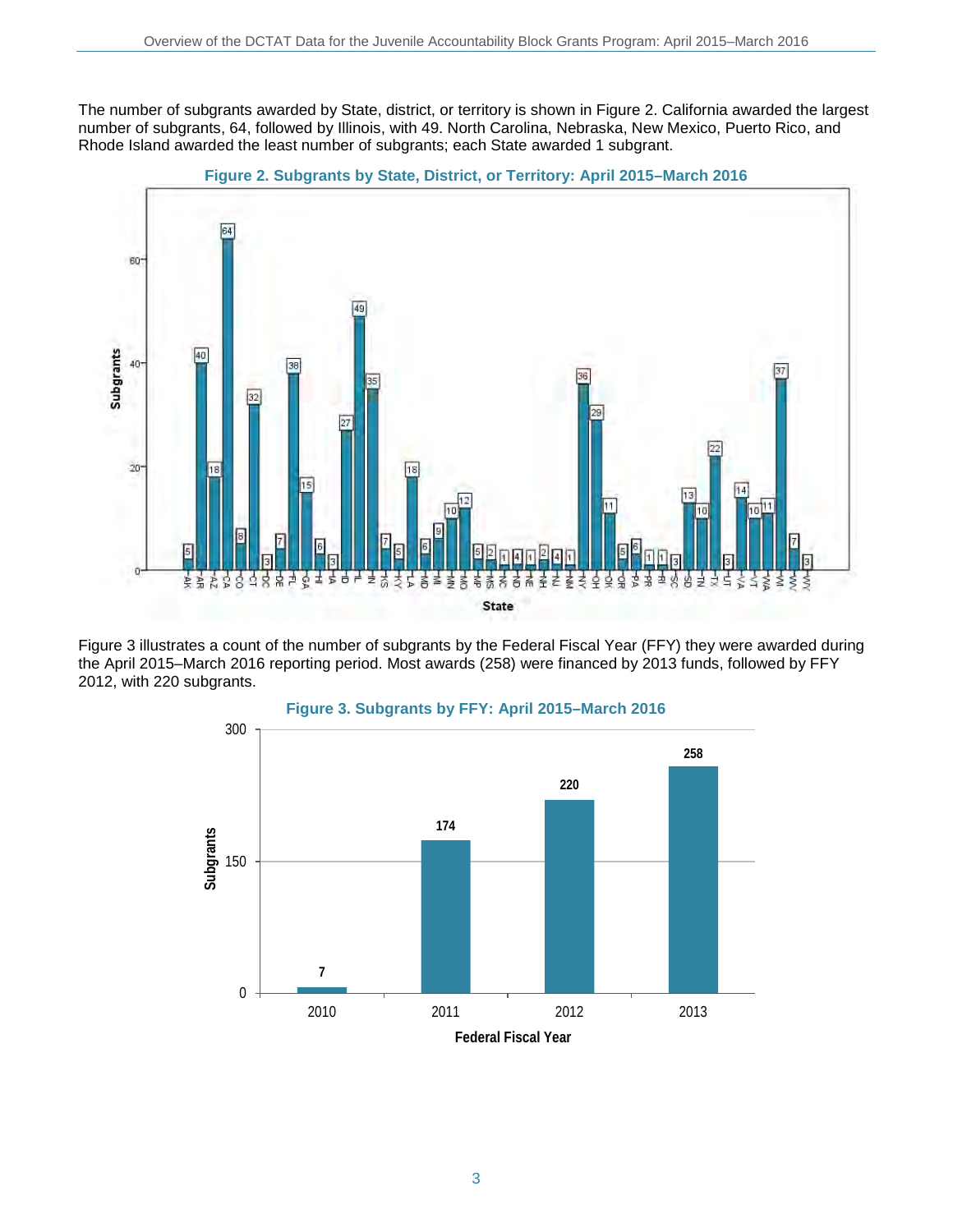The number of subgrants awarded by State, district, or territory is shown in Figure 2. California awarded the largest number of subgrants, 64, followed by Illinois, with 49. North Carolina, Nebraska, New Mexico, Puerto Rico, and Rhode Island awarded the least number of subgrants; each State awarded 1 subgrant.





Figure 3 illustrates a count of the number of subgrants by the Federal Fiscal Year (FFY) they were awarded during the April 2015–March 2016 reporting period. Most awards (258) were financed by 2013 funds, followed by FFY 2012, with 220 subgrants.

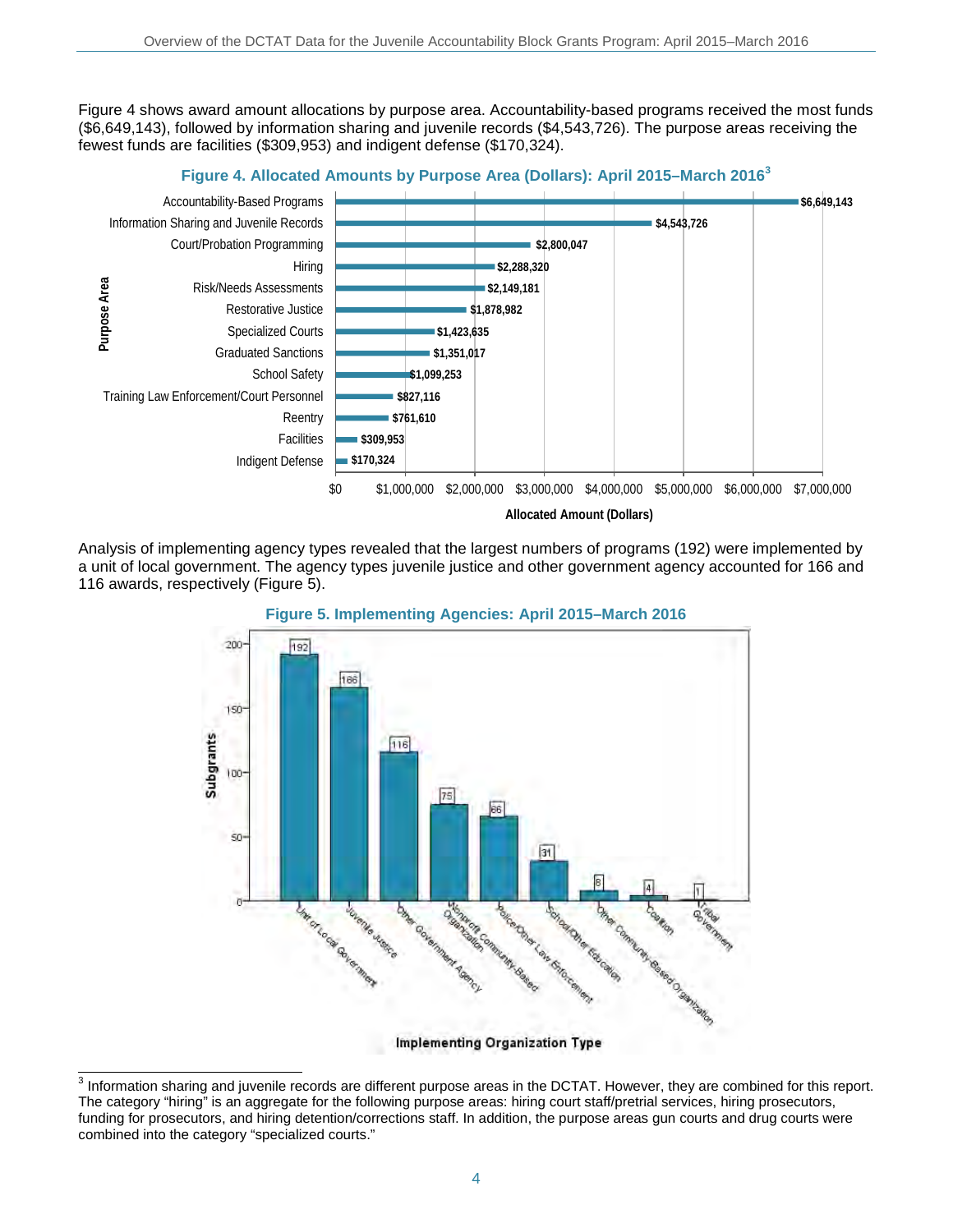Figure 4 shows award amount allocations by purpose area. Accountability-based programs received the most funds (\$6,649,143), followed by information sharing and juvenile records (\$4,543,726). The purpose areas receiving the fewest funds are facilities (\$309,953) and indigent defense (\$170,324).



Analysis of implementing agency types revealed that the largest numbers of programs (192) were implemented by a unit of local government. The agency types juvenile justice and other government agency accounted for 166 and 116 awards, respectively (Figure 5).



**Figure 5. Implementing Agencies: April 2015–March 2016**

Implementing Organization Type

 $\overline{\phantom{a}}$  $3$  Information sharing and juvenile records are different purpose areas in the DCTAT. However, they are combined for this report. The category "hiring" is an aggregate for the following purpose areas: hiring court staff/pretrial services, hiring prosecutors, funding for prosecutors, and hiring detention/corrections staff. In addition, the purpose areas gun courts and drug courts were combined into the category "specialized courts."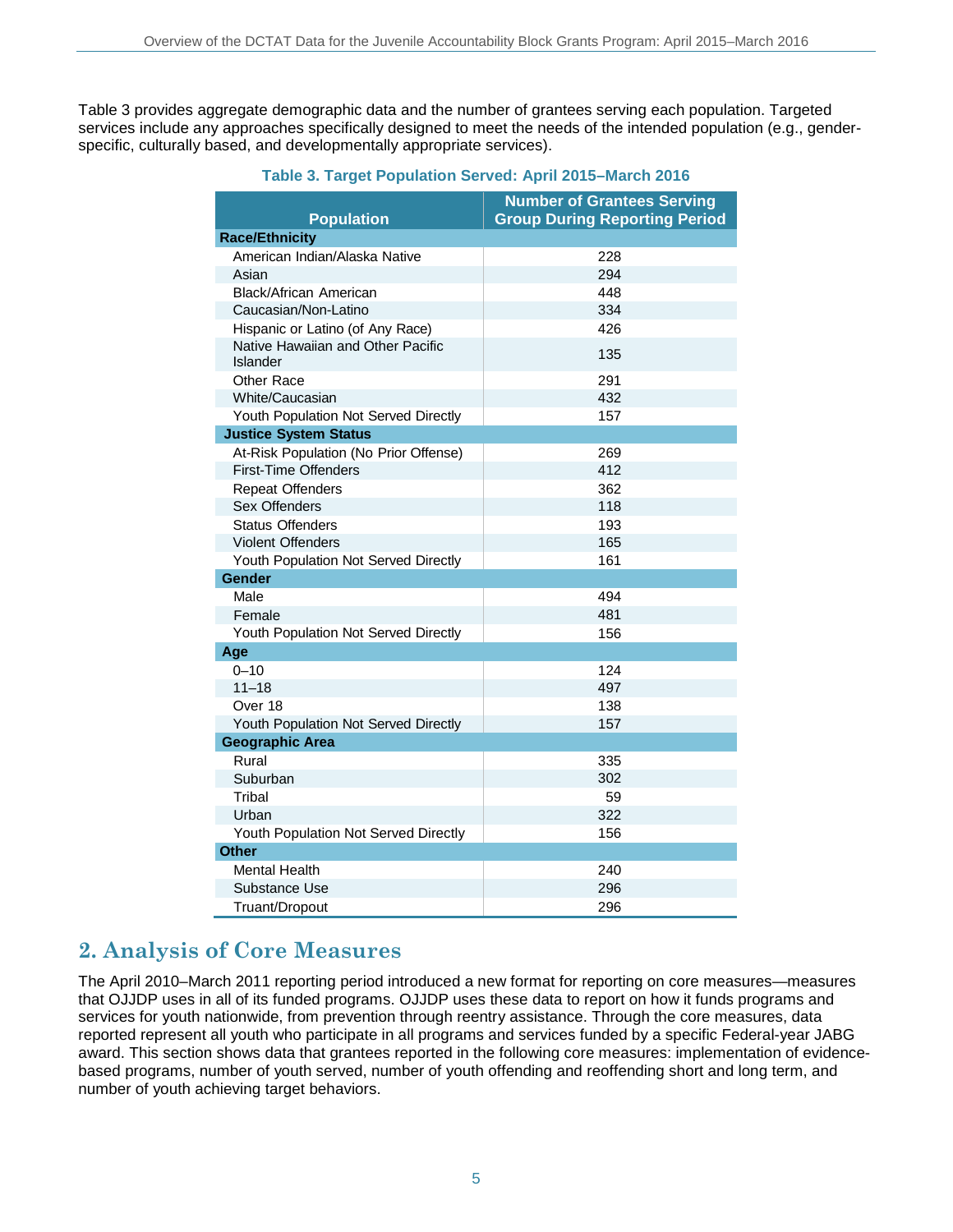Table 3 provides aggregate demographic data and the number of grantees serving each population. Targeted services include any approaches specifically designed to meet the needs of the intended population (e.g., genderspecific, culturally based, and developmentally appropriate services).

|                                                      | <b>Number of Grantees Serving</b>    |
|------------------------------------------------------|--------------------------------------|
| <b>Population</b>                                    | <b>Group During Reporting Period</b> |
| <b>Race/Ethnicity</b>                                |                                      |
| American Indian/Alaska Native                        | 228                                  |
| Asian                                                | 294                                  |
| Black/African American                               | 448                                  |
| Caucasian/Non-Latino                                 | 334                                  |
| Hispanic or Latino (of Any Race)                     | 426                                  |
| Native Hawaiian and Other Pacific<br><b>Islander</b> | 135                                  |
| Other Race                                           | 291                                  |
| White/Caucasian                                      | 432                                  |
| Youth Population Not Served Directly                 | 157                                  |
| <b>Justice System Status</b>                         |                                      |
| At-Risk Population (No Prior Offense)                | 269                                  |
| <b>First-Time Offenders</b>                          | 412                                  |
| <b>Repeat Offenders</b>                              | 362                                  |
| Sex Offenders                                        | 118                                  |
| <b>Status Offenders</b>                              | 193                                  |
| <b>Violent Offenders</b>                             | 165                                  |
| Youth Population Not Served Directly                 | 161                                  |
| Gender                                               |                                      |
| Male                                                 | 494                                  |
| Female                                               | 481                                  |
| Youth Population Not Served Directly                 | 156                                  |
| Age                                                  |                                      |
| $0 - 10$                                             | 124                                  |
| $11 - 18$                                            | 497                                  |
| Over 18                                              | 138                                  |
| Youth Population Not Served Directly                 | 157                                  |
| <b>Geographic Area</b>                               |                                      |
| Rural                                                | 335                                  |
| Suburban                                             | 302                                  |
| Tribal                                               | 59                                   |
| Urban                                                | 322                                  |
| Youth Population Not Served Directly                 | 156                                  |
| <b>Other</b>                                         |                                      |
| <b>Mental Health</b>                                 | 240                                  |
| Substance Use                                        | 296                                  |
| Truant/Dropout                                       | 296                                  |

**Table 3. Target Population Served: April 2015–March 2016**

## **2. Analysis of Core Measures**

The April 2010–March 2011 reporting period introduced a new format for reporting on core measures—measures that OJJDP uses in all of its funded programs. OJJDP uses these data to report on how it funds programs and services for youth nationwide, from prevention through reentry assistance. Through the core measures, data reported represent all youth who participate in all programs and services funded by a specific Federal-year JABG award. This section shows data that grantees reported in the following core measures: implementation of evidencebased programs, number of youth served, number of youth offending and reoffending short and long term, and number of youth achieving target behaviors.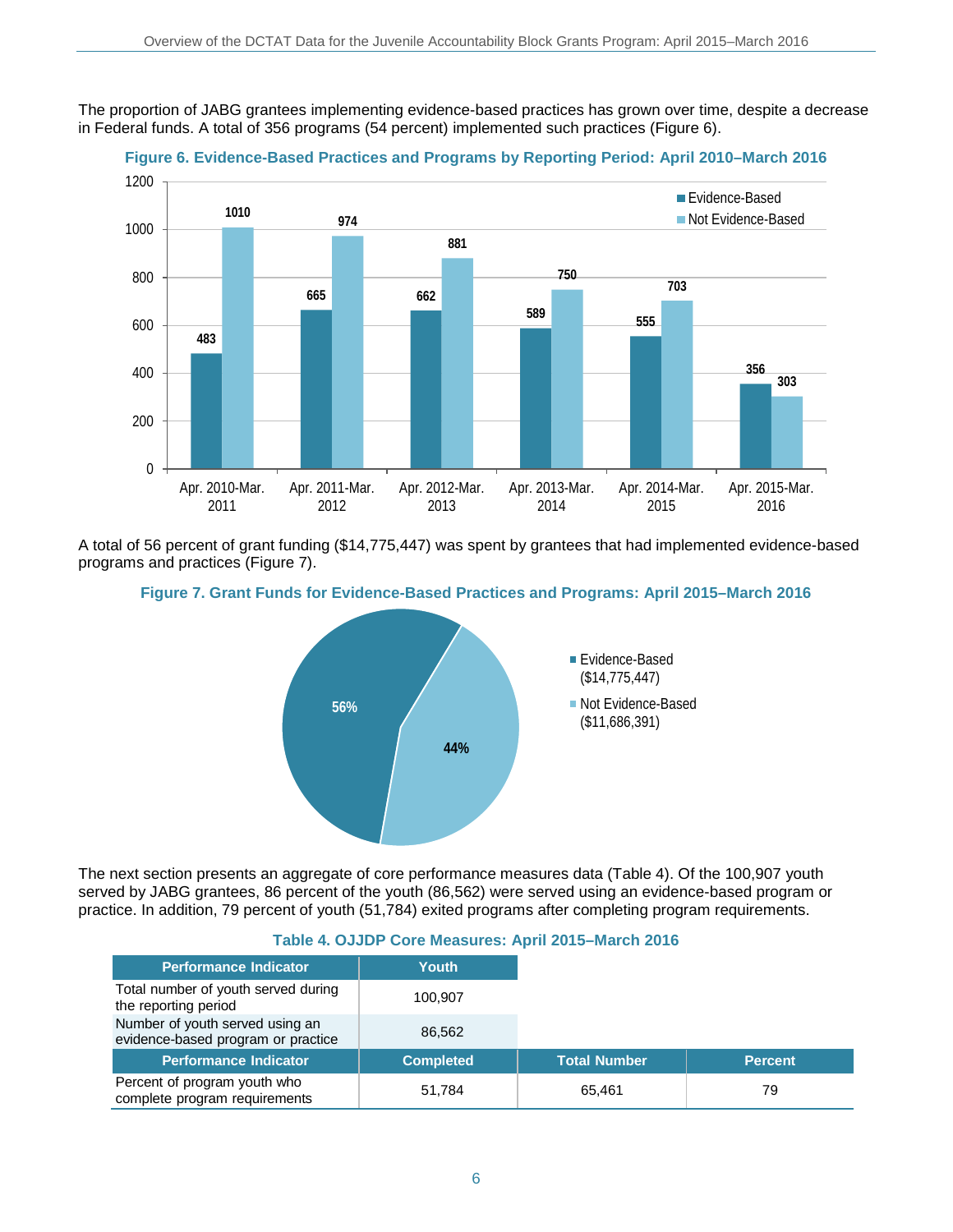The proportion of JABG grantees implementing evidence-based practices has grown over time, despite a decrease in Federal funds. A total of 356 programs (54 percent) implemented such practices (Figure 6).





A total of 56 percent of grant funding (\$14,775,447) was spent by grantees that had implemented evidence-based programs and practices (Figure 7).





The next section presents an aggregate of core performance measures data (Table 4). Of the 100,907 youth served by JABG grantees, 86 percent of the youth (86,562) were served using an evidence-based program or practice. In addition, 79 percent of youth (51,784) exited programs after completing program requirements.

| <b>Performance Indicator</b>                                          | Youth            |                     |
|-----------------------------------------------------------------------|------------------|---------------------|
|                                                                       |                  |                     |
| Total number of youth served during<br>the reporting period           | 100.907          |                     |
| Number of youth served using an<br>evidence-based program or practice | 86.562           |                     |
| <b>Performance Indicator</b>                                          | <b>Completed</b> | <b>Total Number</b> |
| Percent of program youth who<br>complete program requirements         | 51,784           | 65.461              |

#### **Table 4. OJJDP Core Measures: April 2015–March 2016**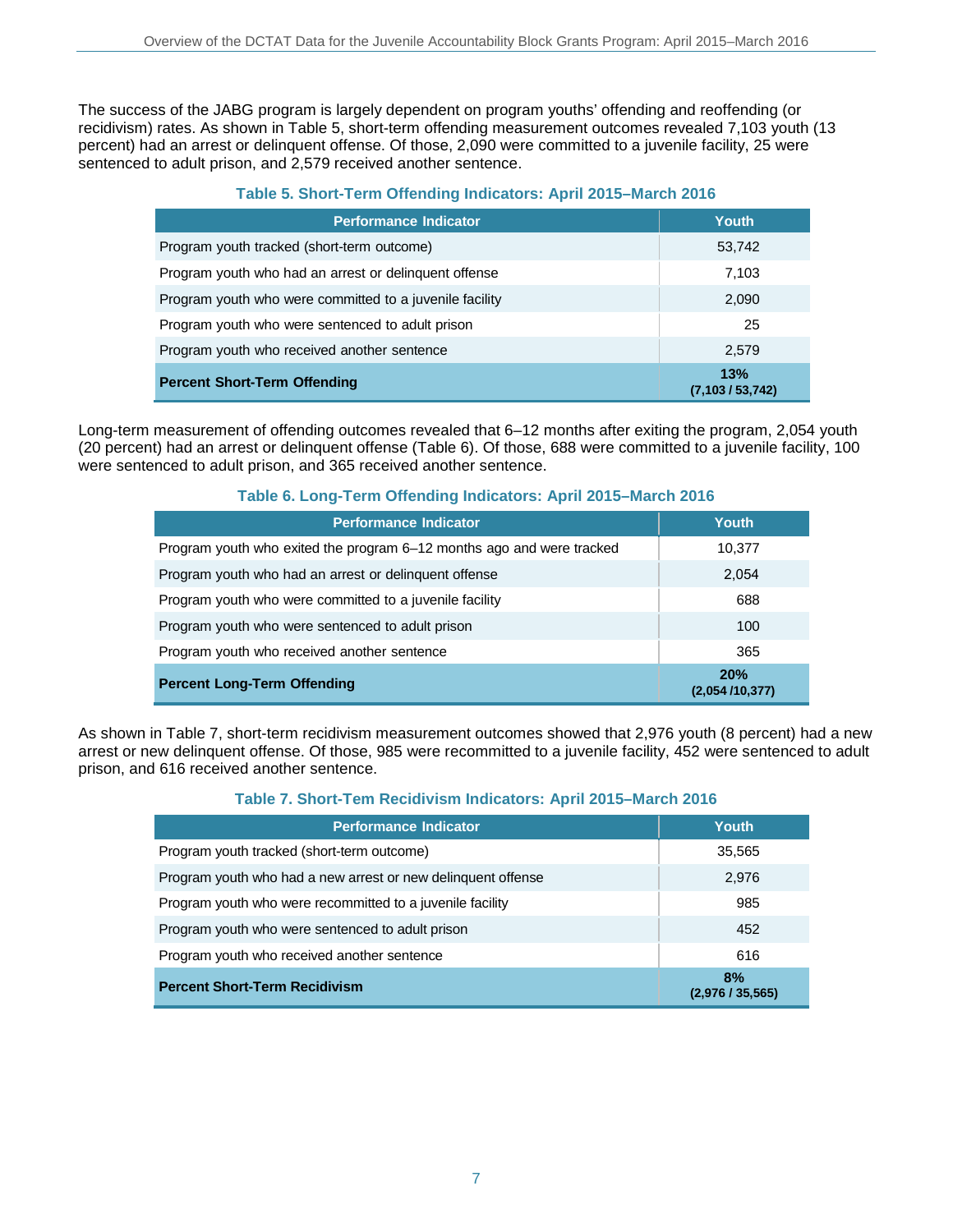The success of the JABG program is largely dependent on program youths' offending and reoffending (or recidivism) rates. As shown in Table 5, short-term offending measurement outcomes revealed 7,103 youth (13 percent) had an arrest or delinquent offense. Of those, 2,090 were committed to a juvenile facility, 25 were sentenced to adult prison, and 2,579 received another sentence.

#### **Table 5. Short-Term Offending Indicators: April 2015–March 2016**

| <b>Performance Indicator</b>                            | Youth                   |
|---------------------------------------------------------|-------------------------|
| Program youth tracked (short-term outcome)              | 53,742                  |
| Program youth who had an arrest or delinguent offense   | 7,103                   |
| Program youth who were committed to a juvenile facility | 2,090                   |
| Program youth who were sentenced to adult prison        | 25                      |
| Program youth who received another sentence             | 2.579                   |
| <b>Percent Short-Term Offending</b>                     | 13%<br>(7,103 / 53,742) |

Long-term measurement of offending outcomes revealed that 6–12 months after exiting the program, 2,054 youth (20 percent) had an arrest or delinquent offense (Table 6). Of those, 688 were committed to a juvenile facility, 100 were sentenced to adult prison, and 365 received another sentence.

#### **Table 6. Long-Term Offending Indicators: April 2015–March 2016**

| <b>Performance Indicator</b>                                          | Youth                 |
|-----------------------------------------------------------------------|-----------------------|
| Program youth who exited the program 6–12 months ago and were tracked | 10,377                |
| Program youth who had an arrest or delinguent offense                 | 2,054                 |
| Program youth who were committed to a juvenile facility               | 688                   |
| Program youth who were sentenced to adult prison                      | 100                   |
| Program youth who received another sentence                           | 365                   |
| <b>Percent Long-Term Offending</b>                                    | 20%<br>(2,054/10,377) |

As shown in Table 7, short-term recidivism measurement outcomes showed that 2,976 youth (8 percent) had a new arrest or new delinquent offense. Of those, 985 were recommitted to a juvenile facility, 452 were sentenced to adult prison, and 616 received another sentence.

#### **Table 7. Short-Tem Recidivism Indicators: April 2015–March 2016**

| <b>Performance Indicator</b>                                 | Youth                |
|--------------------------------------------------------------|----------------------|
| Program youth tracked (short-term outcome)                   | 35,565               |
| Program youth who had a new arrest or new delinguent offense | 2,976                |
| Program youth who were recommitted to a juvenile facility    | 985                  |
| Program youth who were sentenced to adult prison             | 452                  |
| Program youth who received another sentence                  | 616                  |
| <b>Percent Short-Term Recidivism</b>                         | 8%<br>(2,976/35,565) |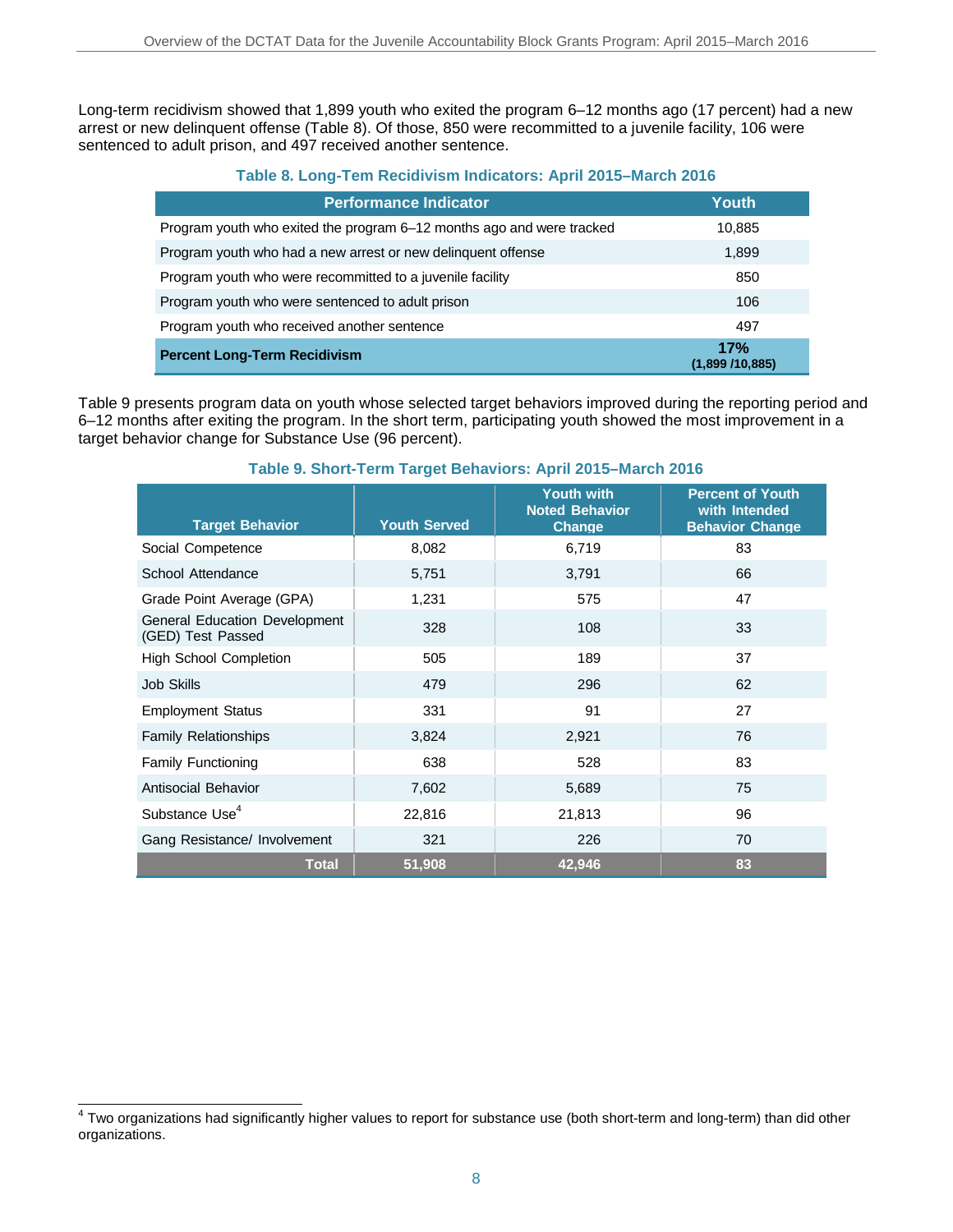Long-term recidivism showed that 1,899 youth who exited the program 6–12 months ago (17 percent) had a new arrest or new delinquent offense (Table 8). Of those, 850 were recommitted to a juvenile facility, 106 were sentenced to adult prison, and 497 received another sentence.

#### **Table 8. Long-Tem Recidivism Indicators: April 2015–March 2016**

| <b>Performance Indicator</b>                                          | Youth                 |
|-----------------------------------------------------------------------|-----------------------|
| Program youth who exited the program 6–12 months ago and were tracked | 10,885                |
| Program youth who had a new arrest or new delinguent offense          | 1,899                 |
| Program youth who were recommitted to a juvenile facility             | 850                   |
| Program youth who were sentenced to adult prison                      | 106                   |
| Program youth who received another sentence                           | 497                   |
| <b>Percent Long-Term Recidivism</b>                                   | 17%<br>(1,899/10,885) |

Table 9 presents program data on youth whose selected target behaviors improved during the reporting period and 6–12 months after exiting the program. In the short term, participating youth showed the most improvement in a target behavior change for Substance Use (96 percent).

| <b>Target Behavior</b>                             | <b>Youth Served</b> | <b>Youth with</b><br><b>Noted Behavior</b><br>Change | <b>Percent of Youth</b><br>with Intended<br><b>Behavior Change</b> |
|----------------------------------------------------|---------------------|------------------------------------------------------|--------------------------------------------------------------------|
| Social Competence                                  | 8,082               | 6,719                                                | 83                                                                 |
| School Attendance                                  | 5,751               | 3,791                                                | 66                                                                 |
| Grade Point Average (GPA)                          | 1,231               | 575                                                  | 47                                                                 |
| General Education Development<br>(GED) Test Passed | 328                 | 108                                                  | 33                                                                 |
| <b>High School Completion</b>                      | 505                 | 189                                                  | 37                                                                 |
| Job Skills                                         | 479                 | 296                                                  | 62                                                                 |
| <b>Employment Status</b>                           | 331                 | 91                                                   | 27                                                                 |
| <b>Family Relationships</b>                        | 3,824               | 2,921                                                | 76                                                                 |
| <b>Family Functioning</b>                          | 638                 | 528                                                  | 83                                                                 |
| Antisocial Behavior                                | 7,602               | 5,689                                                | 75                                                                 |
| Substance Use <sup>4</sup>                         | 22,816              | 21,813                                               | 96                                                                 |
| Gang Resistance/ Involvement                       | 321                 | 226                                                  | 70                                                                 |
| <b>Total</b>                                       | 51,908              | 42,946                                               | 83                                                                 |

#### **Table 9. Short-Term Target Behaviors: April 2015–March 2016**

 $\overline{\phantom{a}}$  $4$  Two organizations had significantly higher values to report for substance use (both short-term and long-term) than did other organizations.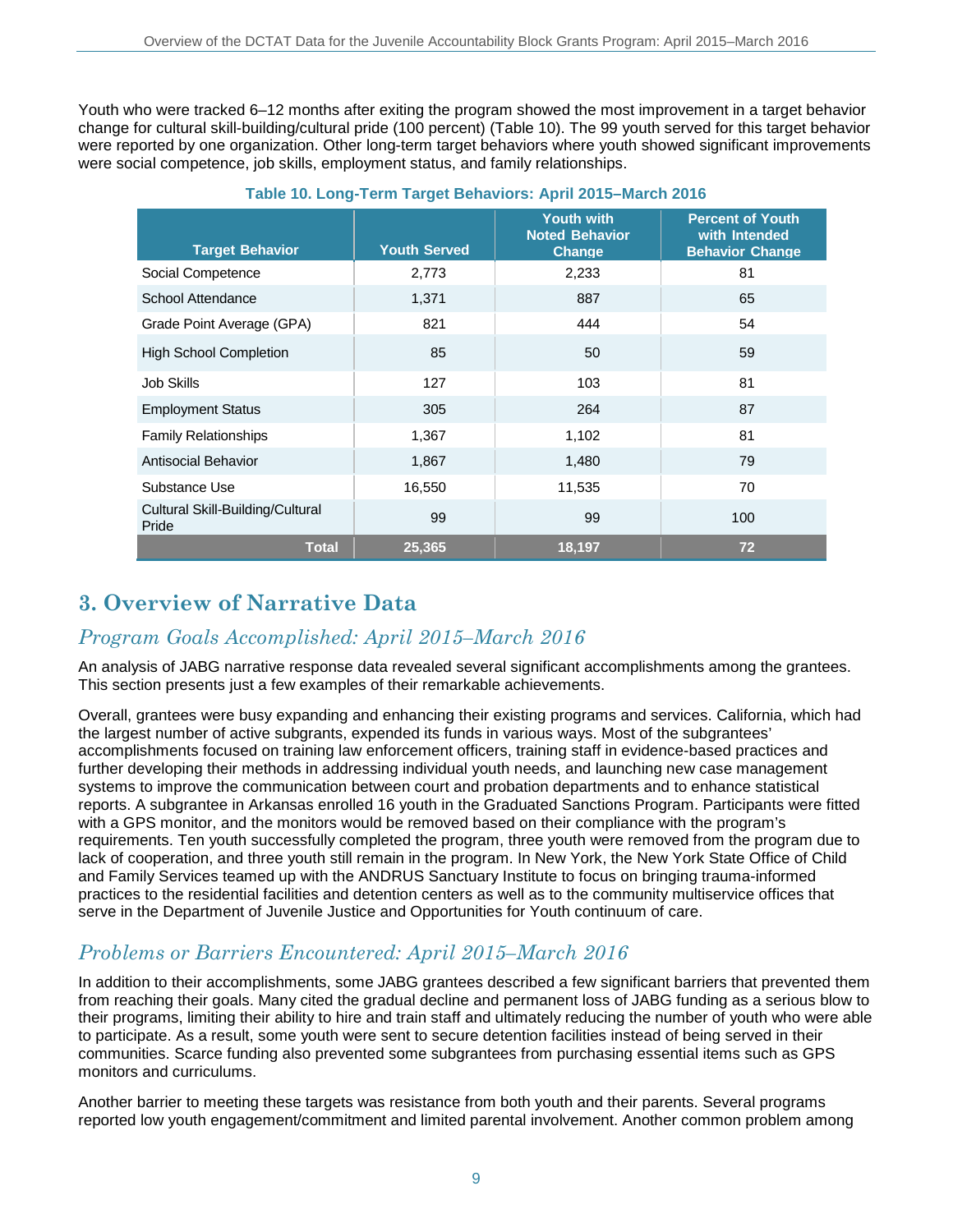Youth who were tracked 6–12 months after exiting the program showed the most improvement in a target behavior change for cultural skill-building/cultural pride (100 percent) (Table 10). The 99 youth served for this target behavior were reported by one organization. Other long-term target behaviors where youth showed significant improvements were social competence, job skills, employment status, and family relationships.

| <b>Target Behavior</b>                    | <b>Youth Served</b> | <b>Youth with</b><br><b>Noted Behavior</b><br><b>Change</b> | <b>Percent of Youth</b><br>with Intended<br><b>Behavior Change</b> |
|-------------------------------------------|---------------------|-------------------------------------------------------------|--------------------------------------------------------------------|
| Social Competence                         | 2,773               | 2,233                                                       | 81                                                                 |
| School Attendance                         | 1,371               | 887                                                         | 65                                                                 |
| Grade Point Average (GPA)                 | 821                 | 444                                                         | 54                                                                 |
| <b>High School Completion</b>             | 85                  | 50                                                          | 59                                                                 |
| Job Skills                                | 127                 | 103                                                         | 81                                                                 |
| <b>Employment Status</b>                  | 305                 | 264                                                         | 87                                                                 |
| <b>Family Relationships</b>               | 1,367               | 1,102                                                       | 81                                                                 |
| Antisocial Behavior                       | 1,867               | 1,480                                                       | 79                                                                 |
| Substance Use                             | 16,550              | 11,535                                                      | 70                                                                 |
| Cultural Skill-Building/Cultural<br>Pride | 99                  | 99                                                          | 100                                                                |
| <b>Total</b>                              | 25.365              | 18,197                                                      | 72                                                                 |

#### **Table 10. Long-Term Target Behaviors: April 2015–March 2016**

### **3. Overview of Narrative Data**

### *Program Goals Accomplished: April 2015–March 2016*

An analysis of JABG narrative response data revealed several significant accomplishments among the grantees. This section presents just a few examples of their remarkable achievements.

Overall, grantees were busy expanding and enhancing their existing programs and services. California, which had the largest number of active subgrants, expended its funds in various ways. Most of the subgrantees' accomplishments focused on training law enforcement officers, training staff in evidence-based practices and further developing their methods in addressing individual youth needs, and launching new case management systems to improve the communication between court and probation departments and to enhance statistical reports. A subgrantee in Arkansas enrolled 16 youth in the Graduated Sanctions Program. Participants were fitted with a GPS monitor, and the monitors would be removed based on their compliance with the program's requirements. Ten youth successfully completed the program, three youth were removed from the program due to lack of cooperation, and three youth still remain in the program. In New York, the New York State Office of Child and Family Services teamed up with the ANDRUS Sanctuary Institute to focus on bringing trauma-informed practices to the residential facilities and detention centers as well as to the community multiservice offices that serve in the Department of Juvenile Justice and Opportunities for Youth continuum of care.

### *Problems or Barriers Encountered: April 2015–March 2016*

In addition to their accomplishments, some JABG grantees described a few significant barriers that prevented them from reaching their goals. Many cited the gradual decline and permanent loss of JABG funding as a serious blow to their programs, limiting their ability to hire and train staff and ultimately reducing the number of youth who were able to participate. As a result, some youth were sent to secure detention facilities instead of being served in their communities. Scarce funding also prevented some subgrantees from purchasing essential items such as GPS monitors and curriculums.

Another barrier to meeting these targets was resistance from both youth and their parents. Several programs reported low youth engagement/commitment and limited parental involvement. Another common problem among